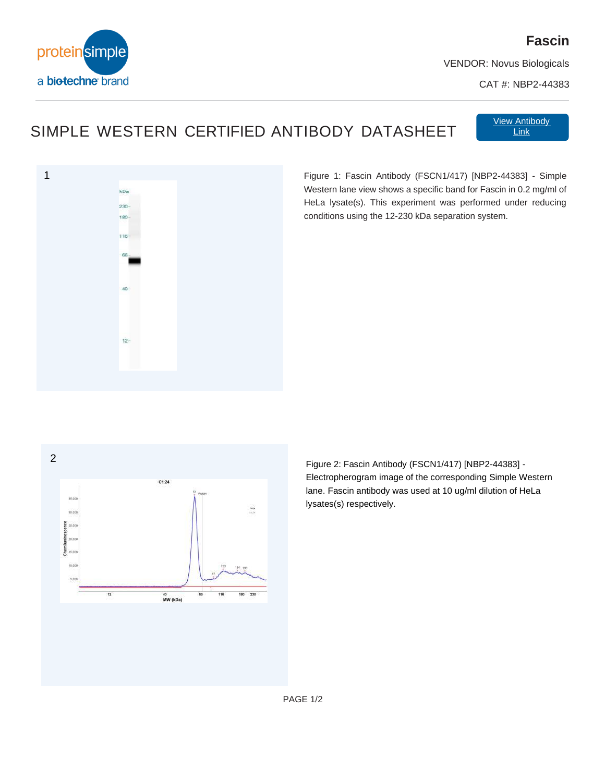

## **Fascin**

VENDOR: Novus Biologicals

CAT #: NBP2-44383

## SIMPLE WESTERN CERTIFIED ANTIBODY DATASHEET

View Antibody [View Antibody](https://www.novusbio.com/search?keywords=NBP2-44383) [Link](https://www.bio-techne.com/p/antibodies/human-il-6-antibody_af-206-na)



Figure 1: Fascin Antibody (FSCN1/417) [NBP2-44383] - Simple Western lane view shows a specific band for Fascin in 0.2 mg/ml of HeLa lysate(s). This experiment was performed under reducing conditions using the 12-230 kDa separation system.



Figure 2: Fascin Antibody (FSCN1/417) [NBP2-44383] - Electropherogram image of the corresponding Simple Western lane. Fascin antibody was used at 10 ug/ml dilution of HeLa lysates(s) respectively.